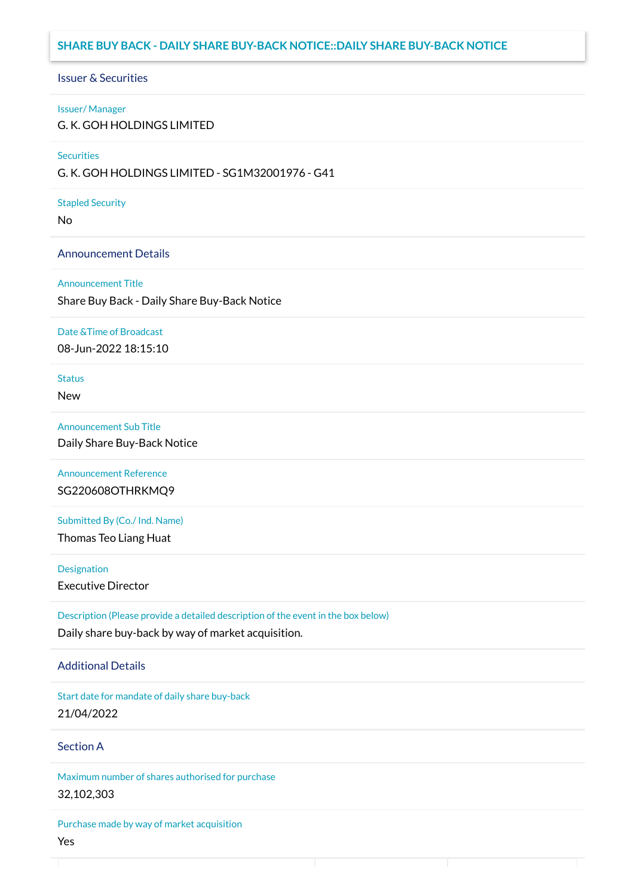## **SHARE BUY BACK - DAILY SHARE BUY-BACK NOTICE::DAILY SHARE BUY-BACK NOTICE**

### Issuer & Securities

### Issuer/ Manager

G. K. GOH HOLDINGS LIMITED

### **Securities**

G. K. GOH HOLDINGS LIMITED - SG1M32001976 - G41

### Stapled Security

No

### Announcement Details

### Announcement Title

Share Buy Back - Daily Share Buy-Back Notice

### Date &Time of Broadcast

08-Jun-2022 18:15:10

# **Status**

New

### Announcement Sub Title

Daily Share Buy-Back Notice

Announcement Reference SG220608OTHRKMQ9

## Submitted By (Co./ Ind. Name)

Thomas Teo Liang Huat

**Designation** 

Executive Director

Description (Please provide a detailed description of the event in the box below) Daily share buy-back by way of market acquisition.

### Additional Details

Start date for mandate of daily share buy-back 21/04/2022

## Section A

Maximum number of shares authorised for purchase 32,102,303

Purchase made by way of market acquisition Yes